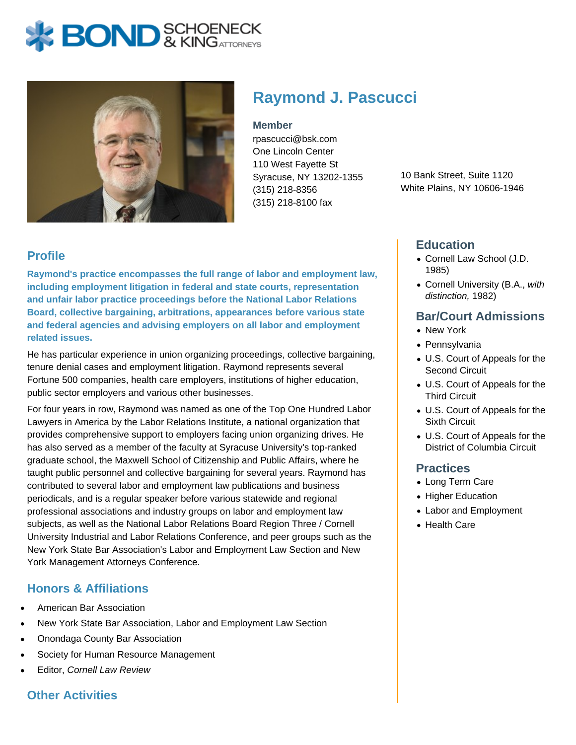# **X: BOND** & KINGATTORNEYS



## **Raymond J. Pascucci**

#### **Member**

rpascucci@bsk.com One Lincoln Center 110 West Fayette St Syracuse, NY 13202-1355 (315) 218-8356 (315) 218-8100 fax

10 Bank Street, Suite 1120 White Plains, NY 10606-1946

#### **Profile**

**Raymond's practice encompasses the full range of labor and employment law, including employment litigation in federal and state courts, representation and unfair labor practice proceedings before the National Labor Relations Board, collective bargaining, arbitrations, appearances before various state and federal agencies and advising employers on all labor and employment related issues.**

He has particular experience in union organizing proceedings, collective bargaining, tenure denial cases and employment litigation. Raymond represents several Fortune 500 companies, health care employers, institutions of higher education, public sector employers and various other businesses.

For four years in row, Raymond was named as one of the Top One Hundred Labor Lawyers in America by the Labor Relations Institute, a national organization that provides comprehensive support to employers facing union organizing drives. He has also served as a member of the faculty at Syracuse University's top-ranked graduate school, the Maxwell School of Citizenship and Public Affairs, where he taught public personnel and collective bargaining for several years. Raymond has contributed to several labor and employment law publications and business periodicals, and is a regular speaker before various statewide and regional professional associations and industry groups on labor and employment law subjects, as well as the National Labor Relations Board Region Three / Cornell University Industrial and Labor Relations Conference, and peer groups such as the New York State Bar Association's Labor and Employment Law Section and New York Management Attorneys Conference.

#### **Honors & Affiliations**

- American Bar Association
- New York State Bar Association, Labor and Employment Law Section
- Onondaga County Bar Association
- Society for Human Resource Management
- Editor, Cornell Law Review

### **Other Activities**

#### **Education**

- Cornell Law School (J.D. 1985)
- Cornell University (B.A., with distinction, 1982)

#### **Bar/Court Admissions**

- New York
- Pennsylvania
- U.S. Court of Appeals for the Second Circuit
- U.S. Court of Appeals for the Third Circuit
- U.S. Court of Appeals for the Sixth Circuit
- U.S. Court of Appeals for the District of Columbia Circuit

#### **Practices**

- Long Term Care
- Higher Education
- Labor and Employment
- Health Care